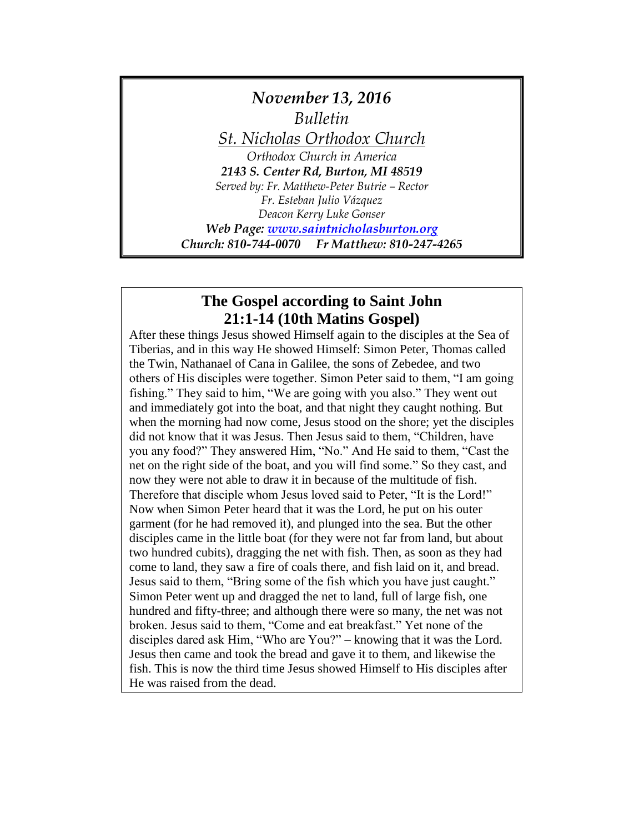# *November 13, 2016 Bulletin St. Nicholas Orthodox Church Orthodox Church in America 2143 S. Center Rd, Burton, MI 48519 Served by: Fr. Matthew-Peter Butrie – Rector Fr. Esteban Julio Vázquez Deacon Kerry Luke Gonser Web Page: [www.saintnicholasburton.org](http://www.saintnicholasburton.org/) Church: 810-744-0070 Fr Matthew: 810-247-4265*

## **The Gospel according to Saint John 21:1-14 (10th Matins Gospel)**

After these things Jesus showed Himself again to the disciples at the Sea of Tiberias, and in this way He showed Himself: Simon Peter, Thomas called the Twin, Nathanael of Cana in Galilee, the sons of Zebedee, and two others of His disciples were together. Simon Peter said to them, "I am going fishing." They said to him, "We are going with you also." They went out and immediately got into the boat, and that night they caught nothing. But when the morning had now come, Jesus stood on the shore; yet the disciples did not know that it was Jesus. Then Jesus said to them, "Children, have you any food?" They answered Him, "No." And He said to them, "Cast the net on the right side of the boat, and you will find some." So they cast, and now they were not able to draw it in because of the multitude of fish. Therefore that disciple whom Jesus loved said to Peter, "It is the Lord!" Now when Simon Peter heard that it was the Lord, he put on his outer garment (for he had removed it), and plunged into the sea. But the other disciples came in the little boat (for they were not far from land, but about two hundred cubits), dragging the net with fish. Then, as soon as they had come to land, they saw a fire of coals there, and fish laid on it, and bread. Jesus said to them, "Bring some of the fish which you have just caught." Simon Peter went up and dragged the net to land, full of large fish, one hundred and fifty-three; and although there were so many, the net was not broken. Jesus said to them, "Come and eat breakfast." Yet none of the disciples dared ask Him, "Who are You?" – knowing that it was the Lord. Jesus then came and took the bread and gave it to them, and likewise the fish. This is now the third time Jesus showed Himself to His disciples after He was raised from the dead.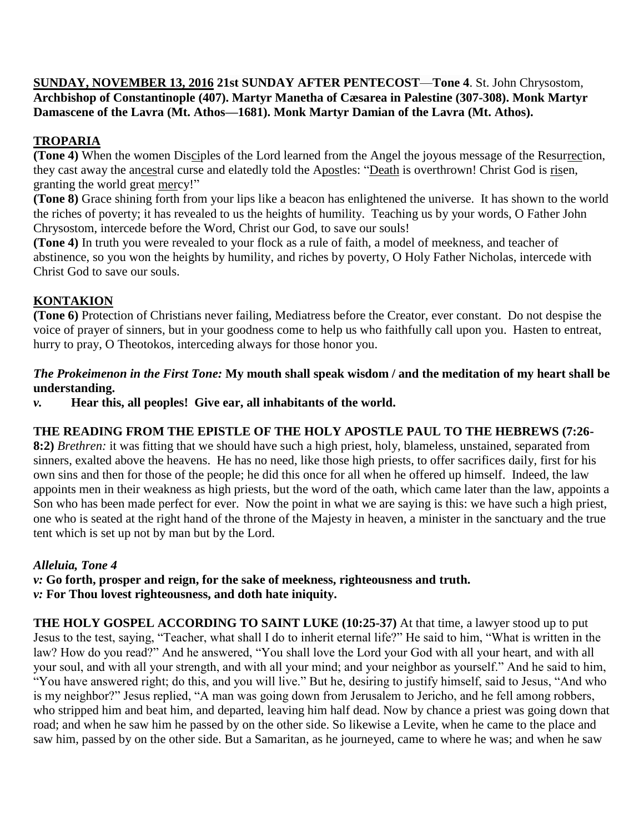**SUNDAY, NOVEMBER 13, 2016 21st SUNDAY AFTER PENTECOST**—**Tone 4**. St. John Chrysostom, **Archbishop of Constantinople (407). Martyr Manetha of Cæsarea in Palestine (307-308). Monk Martyr Damascene of the Lavra (Mt. Athos—1681). Monk Martyr Damian of the Lavra (Mt. Athos).**

## **TROPARIA**

**(Tone 4)** When the women Disciples of the Lord learned from the Angel the joyous message of the Resurrection, they cast away the ancestral curse and elatedly told the Apostles: "Death is overthrown! Christ God is risen, granting the world great mercy!"

**(Tone 8)** Grace shining forth from your lips like a beacon has enlightened the universe. It has shown to the world the riches of poverty; it has revealed to us the heights of humility. Teaching us by your words, O Father John Chrysostom, intercede before the Word, Christ our God, to save our souls!

**(Tone 4)** In truth you were revealed to your flock as a rule of faith, a model of meekness, and teacher of abstinence, so you won the heights by humility, and riches by poverty, O Holy Father Nicholas, intercede with Christ God to save our souls.

## **KONTAKION**

**(Tone 6)** Protection of Christians never failing, Mediatress before the Creator, ever constant. Do not despise the voice of prayer of sinners, but in your goodness come to help us who faithfully call upon you. Hasten to entreat, hurry to pray, O Theotokos, interceding always for those honor you.

#### *The Prokeimenon in the First Tone:* **My mouth shall speak wisdom / and the meditation of my heart shall be understanding.**

*v.* **Hear this, all peoples! Give ear, all inhabitants of the world.**

### **THE READING FROM THE EPISTLE OF THE HOLY APOSTLE PAUL TO THE HEBREWS (7:26-**

**8:2)** *Brethren:* it was fitting that we should have such a high priest, holy, blameless, unstained, separated from sinners, exalted above the heavens. He has no need, like those high priests, to offer sacrifices daily, first for his own sins and then for those of the people; he did this once for all when he offered up himself. Indeed, the law appoints men in their weakness as high priests, but the word of the oath, which came later than the law, appoints a Son who has been made perfect for ever. Now the point in what we are saying is this: we have such a high priest, one who is seated at the right hand of the throne of the Majesty in heaven, a minister in the sanctuary and the true tent which is set up not by man but by the Lord.

### *Alleluia, Tone 4*

*v:* **Go forth, prosper and reign, for the sake of meekness, righteousness and truth.** *v:* **For Thou lovest righteousness, and doth hate iniquity.**

**THE HOLY GOSPEL ACCORDING TO SAINT LUKE (10:25-37)** At that time, a lawyer stood up to put Jesus to the test, saying, "Teacher, what shall I do to inherit eternal life?" He said to him, "What is written in the law? How do you read?" And he answered, "You shall love the Lord your God with all your heart, and with all your soul, and with all your strength, and with all your mind; and your neighbor as yourself." And he said to him, "You have answered right; do this, and you will live." But he, desiring to justify himself, said to Jesus, "And who is my neighbor?" Jesus replied, "A man was going down from Jerusalem to Jericho, and he fell among robbers, who stripped him and beat him, and departed, leaving him half dead. Now by chance a priest was going down that road; and when he saw him he passed by on the other side. So likewise a Levite, when he came to the place and saw him, passed by on the other side. But a Samaritan, as he journeyed, came to where he was; and when he saw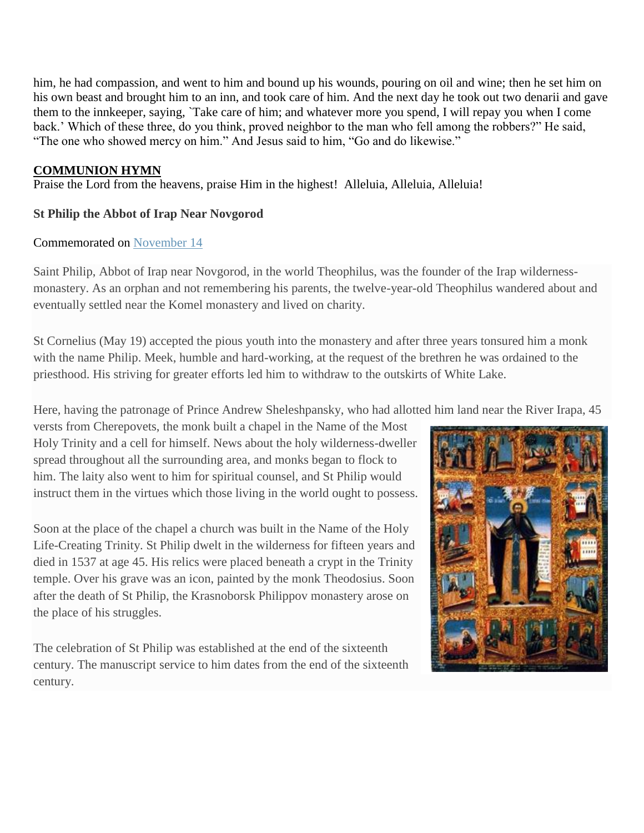him, he had compassion, and went to him and bound up his wounds, pouring on oil and wine; then he set him on his own beast and brought him to an inn, and took care of him. And the next day he took out two denarii and gave them to the innkeeper, saying, `Take care of him; and whatever more you spend, I will repay you when I come back.' Which of these three, do you think, proved neighbor to the man who fell among the robbers?" He said, "The one who showed mercy on him." And Jesus said to him, "Go and do likewise."

#### **COMMUNION HYMN**

Praise the Lord from the heavens, praise Him in the highest! Alleluia, Alleluia, Alleluia!

#### **St Philip the Abbot of Irap Near Novgorod**

#### Commemorated on [November 14](https://oca.org/saints/lives/2016/11/14)

Saint Philip, Abbot of Irap near Novgorod, in the world Theophilus, was the founder of the Irap wildernessmonastery. As an orphan and not remembering his parents, the twelve-year-old Theophilus wandered about and eventually settled near the Komel monastery and lived on charity.

St Cornelius (May 19) accepted the pious youth into the monastery and after three years tonsured him a monk with the name Philip. Meek, humble and hard-working, at the request of the brethren he was ordained to the priesthood. His striving for greater efforts led him to withdraw to the outskirts of White Lake.

Here, having the patronage of Prince Andrew Sheleshpansky, who had allotted him land near the River Irapa, 45

versts from Cherepovets, the monk built a chapel in the Name of the Most Holy Trinity and a cell for himself. News about the holy wilderness-dweller spread throughout all the surrounding area, and monks began to flock to him. The laity also went to him for spiritual counsel, and St Philip would instruct them in the virtues which those living in the world ought to possess.

Soon at the place of the chapel a church was built in the Name of the Holy Life-Creating Trinity. St Philip dwelt in the wilderness for fifteen years and died in 1537 at age 45. His relics were placed beneath a crypt in the Trinity temple. Over his grave was an icon, painted by the monk Theodosius. Soon after the death of St Philip, the Krasnoborsk Philippov monastery arose on the place of his struggles.

The celebration of St Philip was established at the end of the sixteenth century. The manuscript service to him dates from the end of the sixteenth century.

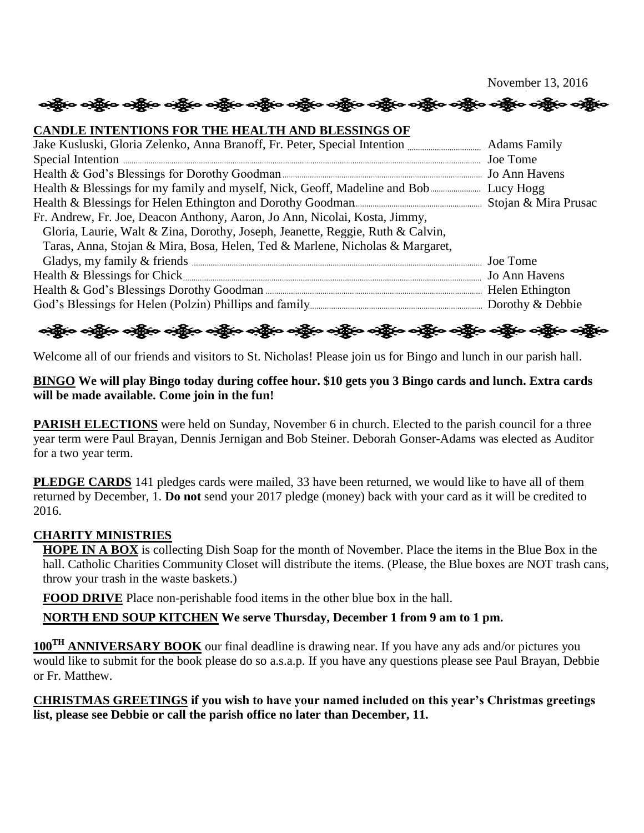November 13, 2016

#### **CANDLE INTENTIONS FOR THE HEALTH AND BLESSINGS OF**

| Fr. Andrew, Fr. Joe, Deacon Anthony, Aaron, Jo Ann, Nicolai, Kosta, Jimmy,     |  |
|--------------------------------------------------------------------------------|--|
| Gloria, Laurie, Walt & Zina, Dorothy, Joseph, Jeanette, Reggie, Ruth & Calvin, |  |
| Taras, Anna, Stojan & Mira, Bosa, Helen, Ted & Marlene, Nicholas & Margaret,   |  |
|                                                                                |  |
|                                                                                |  |
|                                                                                |  |
|                                                                                |  |

# ဆိုပြီးဝ ခရိုပြ ခရိုပြ ခရိုပြ ခရိုပြ ခရိုပြ ခရိုပြ ခရိုပြ ခရိုပြ ခရိုပြ ခရိုပြ ခရိုပြ ခရိုပြ ခရိုပြ ခရိုပြ ခရိ

Welcome all of our friends and visitors to St. Nicholas! Please join us for Bingo and lunch in our parish hall.

#### **BINGO We will play Bingo today during coffee hour. \$10 gets you 3 Bingo cards and lunch. Extra cards will be made available. Come join in the fun!**

**PARISH ELECTIONS** were held on Sunday, November 6 in church. Elected to the parish council for a three year term were Paul Brayan, Dennis Jernigan and Bob Steiner. Deborah Gonser-Adams was elected as Auditor for a two year term.

**PLEDGE CARDS** 141 pledges cards were mailed, 33 have been returned, we would like to have all of them returned by December, 1. **Do not** send your 2017 pledge (money) back with your card as it will be credited to 2016.

#### **CHARITY MINISTRIES**

**HOPE IN A BOX** is collecting Dish Soap for the month of November. Place the items in the Blue Box in the hall. Catholic Charities Community Closet will distribute the items. (Please, the Blue boxes are NOT trash cans, throw your trash in the waste baskets.)

**FOOD DRIVE** Place non-perishable food items in the other blue box in the hall.

**NORTH END SOUP KITCHEN We serve Thursday, December 1 from 9 am to 1 pm.**

**100TH ANNIVERSARY BOOK** our final deadline is drawing near. If you have any ads and/or pictures you would like to submit for the book please do so a.s.a.p. If you have any questions please see Paul Brayan, Debbie or Fr. Matthew.

**CHRISTMAS GREETINGS if you wish to have your named included on this year's Christmas greetings list, please see Debbie or call the parish office no later than December, 11.**